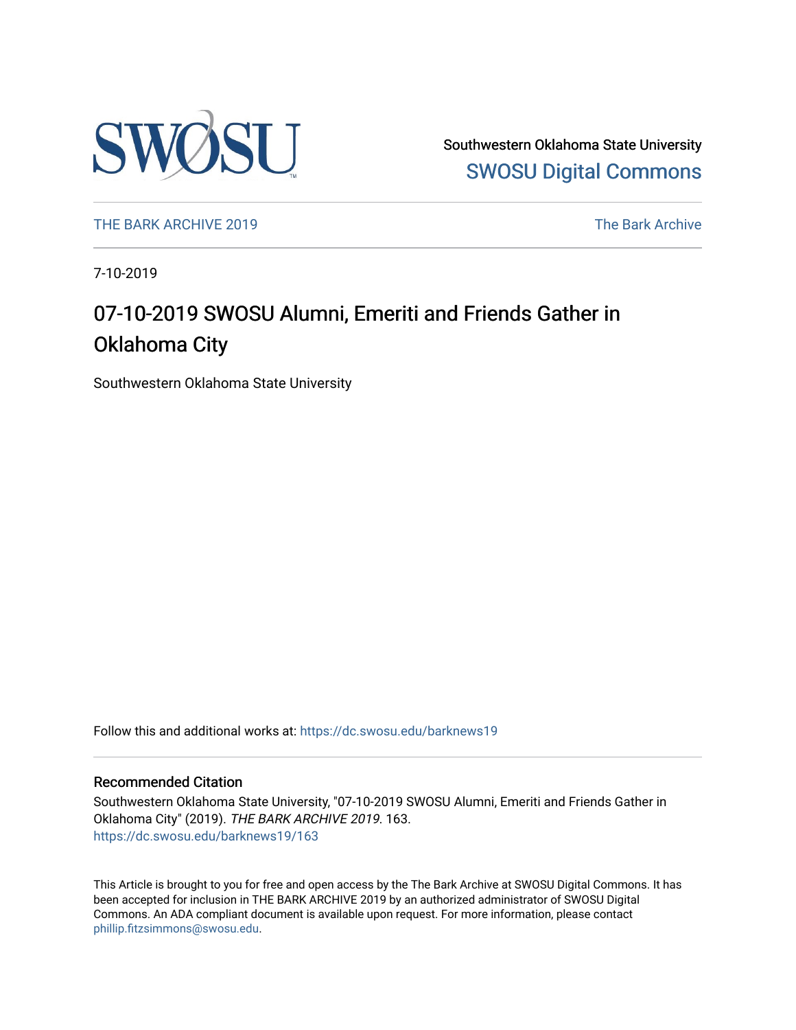

Southwestern Oklahoma State University [SWOSU Digital Commons](https://dc.swosu.edu/) 

[THE BARK ARCHIVE 2019](https://dc.swosu.edu/barknews19) The Bark Archive

7-10-2019

### 07-10-2019 SWOSU Alumni, Emeriti and Friends Gather in Oklahoma City

Southwestern Oklahoma State University

Follow this and additional works at: [https://dc.swosu.edu/barknews19](https://dc.swosu.edu/barknews19?utm_source=dc.swosu.edu%2Fbarknews19%2F163&utm_medium=PDF&utm_campaign=PDFCoverPages)

#### Recommended Citation

Southwestern Oklahoma State University, "07-10-2019 SWOSU Alumni, Emeriti and Friends Gather in Oklahoma City" (2019). THE BARK ARCHIVE 2019. 163. [https://dc.swosu.edu/barknews19/163](https://dc.swosu.edu/barknews19/163?utm_source=dc.swosu.edu%2Fbarknews19%2F163&utm_medium=PDF&utm_campaign=PDFCoverPages)

This Article is brought to you for free and open access by the The Bark Archive at SWOSU Digital Commons. It has been accepted for inclusion in THE BARK ARCHIVE 2019 by an authorized administrator of SWOSU Digital Commons. An ADA compliant document is available upon request. For more information, please contact [phillip.fitzsimmons@swosu.edu](mailto:phillip.fitzsimmons@swosu.edu).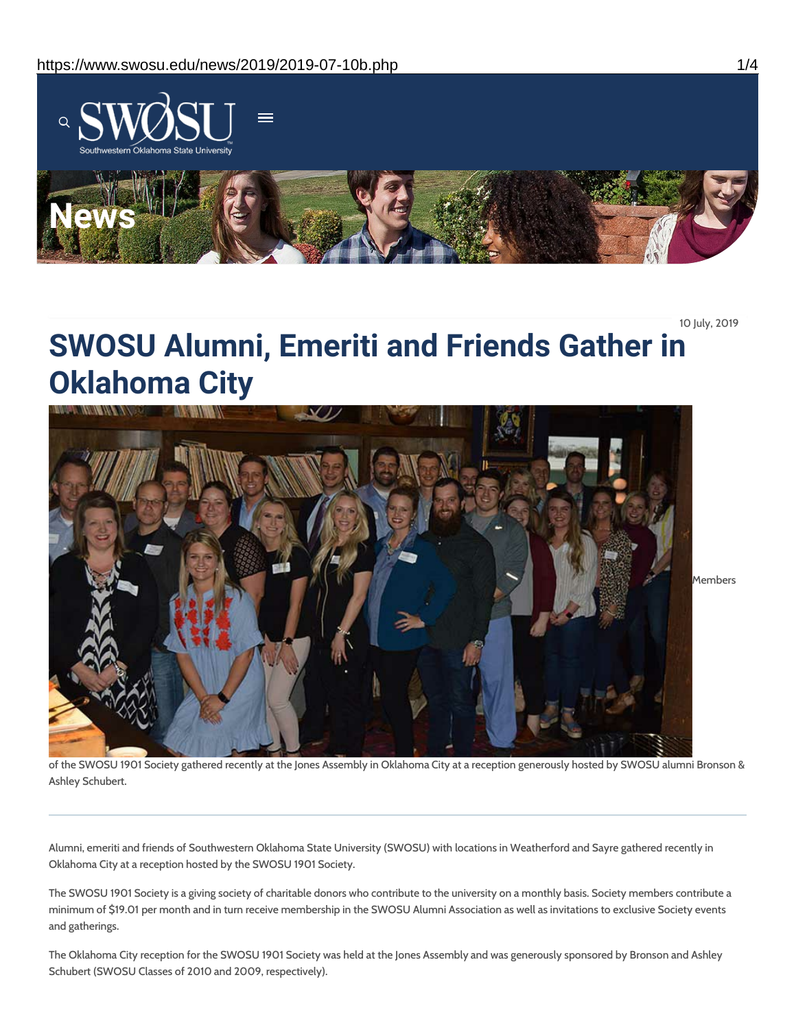

10 July, 2019

# **SWOSU Alumni, Emeriti and Friends Gather in Oklahoma City**



of the SWOSU 1901 Society gathered recently at the Jones Assembly in Oklahoma City at a reception generously hosted by SWOSU alumni Bronson & Ashley Schubert.

Alumni, emeriti and friends of Southwestern Oklahoma State University (SWOSU) with locations in Weatherford and Sayre gathered recently in Oklahoma City at a reception hosted by the SWOSU 1901 Society.

The SWOSU 1901 Society is a giving society of charitable donors who contribute to the university on a monthly basis. Society members contribute a minimum of \$19.01 per month and in turn receive membership in the SWOSU Alumni Association as well as invitations to exclusive Society events and gatherings.

The Oklahoma City reception for the SWOSU 1901 Society was held at the Jones Assembly and was generously sponsored by Bronson and Ashley Schubert (SWOSU Classes of 2010 and 2009, respectively).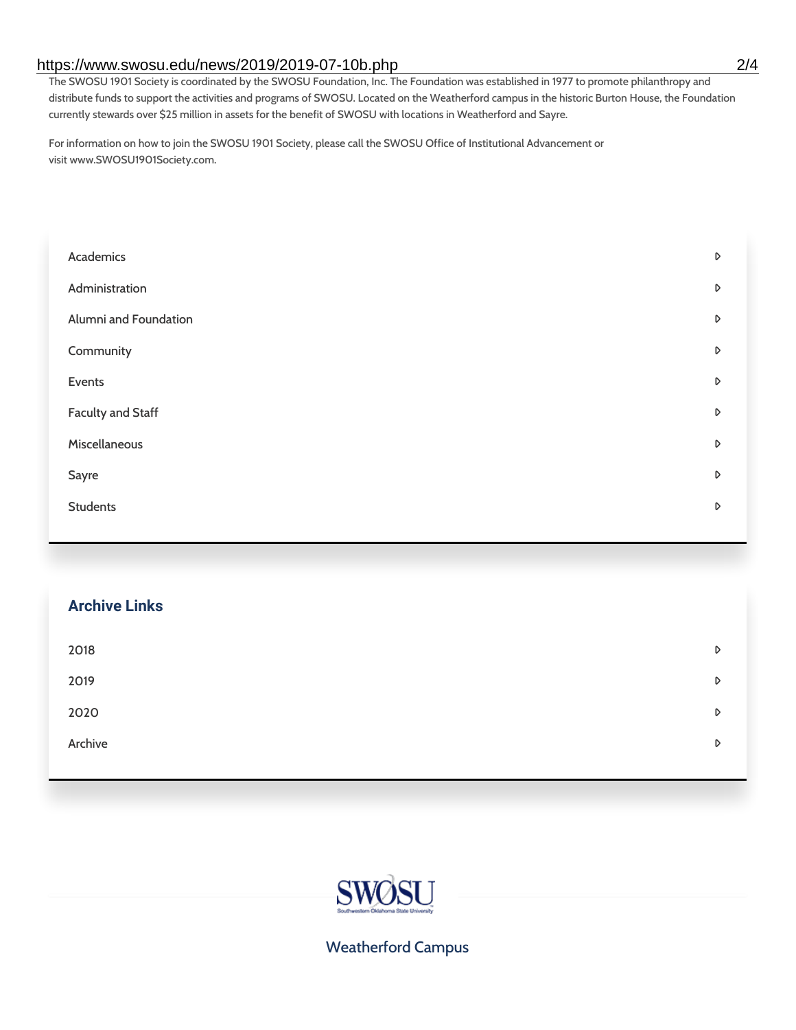#### https://www.swosu.edu/news/2019/2019-07-10b.php 2/4

The SWOSU 1901 Society is coordinated by the SWOSU Foundation, Inc. The Foundation was established in 1977 to promote philanthropy and distribute funds to support the activities and programs of SWOSU. Located on the Weatherford campus in the historic Burton House, the Foundation currently stewards over \$25 million in assets for the benefit of SWOSU with locations in Weatherford and Sayre.

For information on how to join the SWOSU 1901 Society, please call the SWOSU Office of Institutional Advancement or visit www.SWOSU1901Society.com.

| Academics                | D |
|--------------------------|---|
| Administration           | D |
| Alumni and Foundation    | D |
| Community                | D |
| Events                   | D |
| <b>Faculty and Staff</b> | D |
| Miscellaneous            | D |
| Sayre                    | D |
| <b>Students</b>          | D |
|                          |   |

# **Archive Links**  $2018$  $2019$ [2020](https://www.swosu.edu/news/2020/index.php)  $\blacksquare$ [Archive](https://dc.swosu.edu/bark/) **Archive Archive Archive Archive Archive** Archive Archive Archive Archive Archive Archive Archive Archive



Weatherford Campus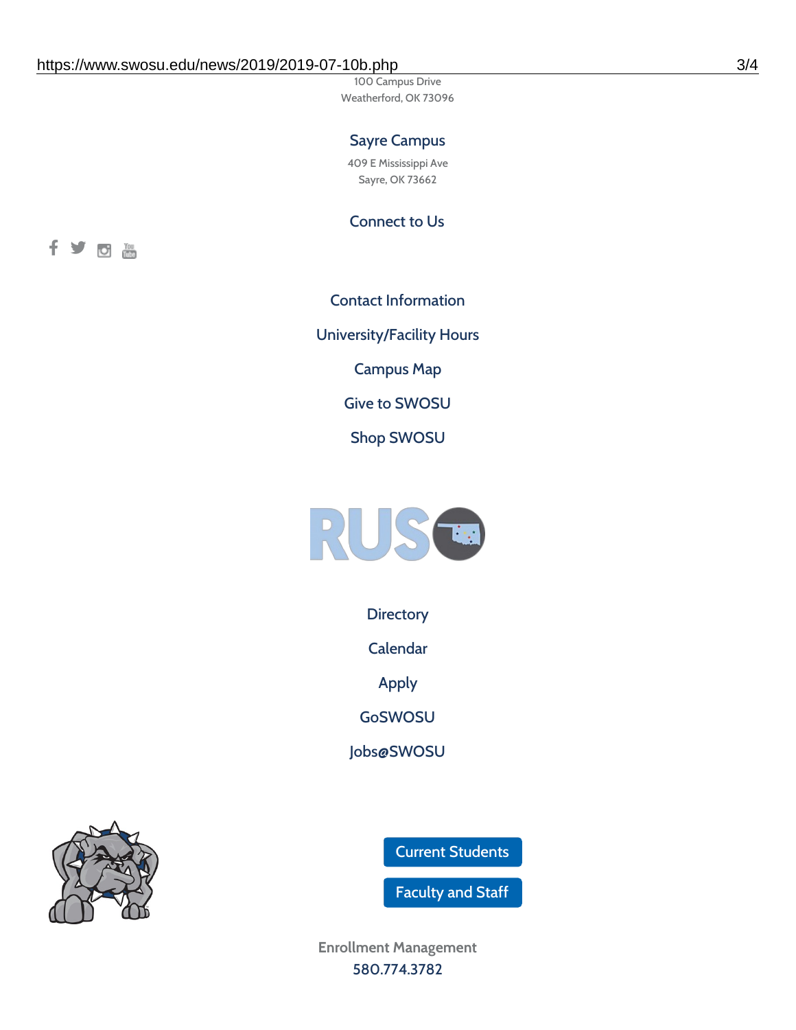100 Campus Drive Weatherford, OK 73096

### Sayre Campus

409 E Mississippi Ave Sayre, OK 73662

Connect to Us



Contact [Information](https://www.swosu.edu/about/contact.php) [University/Facility](https://www.swosu.edu/about/operating-hours.php) Hours [Campus](https://map.concept3d.com/?id=768#!ct/10964,10214,10213,10212,10205,10204,10203,10202,10136,10129,10128,0,31226,10130,10201,10641,0) Map Give to [SWOSU](https://standingfirmly.com/donate) Shop [SWOSU](https://shopswosu.merchorders.com/)



**[Directory](https://www.swosu.edu/directory/index.php)** 

[Calendar](https://eventpublisher.dudesolutions.com/swosu/)

[Apply](https://www.swosu.edu/admissions/apply-to-swosu.php)

[GoSWOSU](https://qlsso.quicklaunchsso.com/home/1267)

[Jobs@SWOSU](https://swosu.csod.com/ux/ats/careersite/1/home?c=swosu)

Current [Students](https://bulldog.swosu.edu/index.php)

[Faculty](https://bulldog.swosu.edu/faculty-staff/index.php) and Staff

**Enrollment Management** [580.774.3782](tel:5807743782)